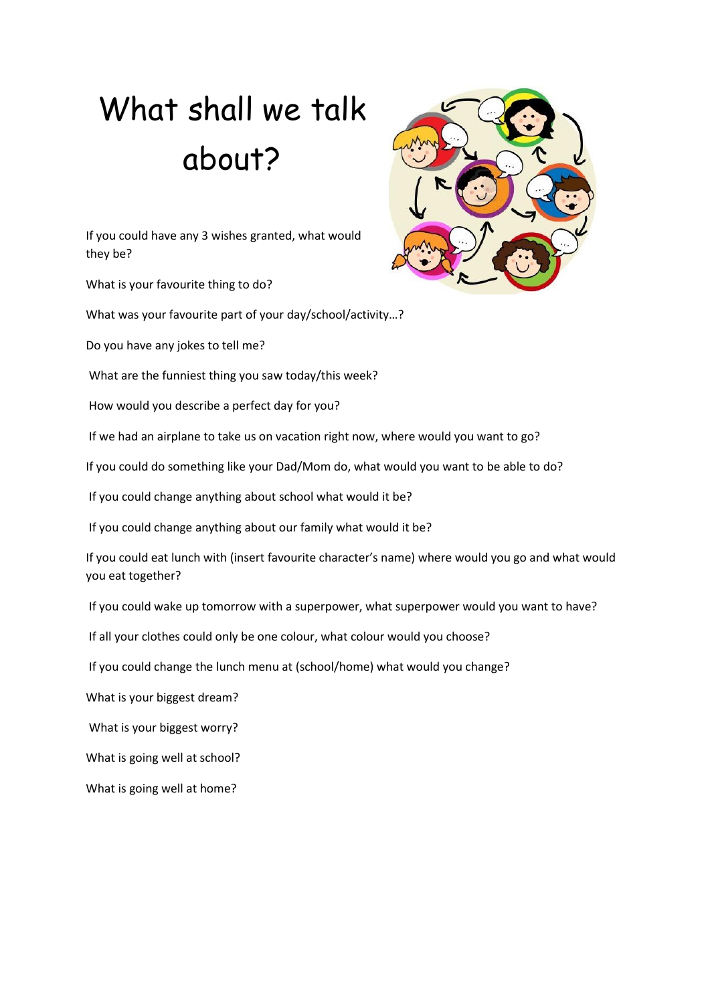## What shall we talk about?

If you could have any 3 wishes granted, what would they be?

What is your favourite thing to do?

What was your favourite part of your day/school/activity…?

Do you have any jokes to tell me?

What are the funniest thing you saw today/this week?

How would you describe a perfect day for you?

If we had an airplane to take us on vacation right now, where would you want to go?

If you could do something like your Dad/Mom do, what would you want to be able to do?

If you could change anything about school what would it be?

If you could change anything about our family what would it be?

If you could eat lunch with (insert favourite character's name) where would you go and what would you eat together?

If you could wake up tomorrow with a superpower, what superpower would you want to have?

If all your clothes could only be one colour, what colour would you choose?

If you could change the lunch menu at (school/home) what would you change?

What is your biggest dream?

What is your biggest worry?

What is going well at school?

What is going well at home?